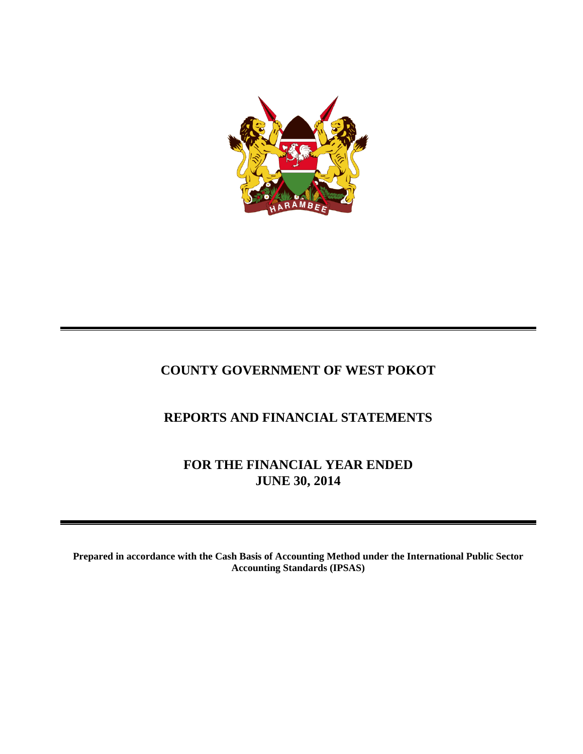

# **COUNTY GOVERNMENT OF WEST POKOT**

# **REPORTS AND FINANCIAL STATEMENTS**

**FOR THE FINANCIAL YEAR ENDED JUNE 30, 2014**

**Prepared in accordance with the Cash Basis of Accounting Method under the International Public Sector Accounting Standards (IPSAS)**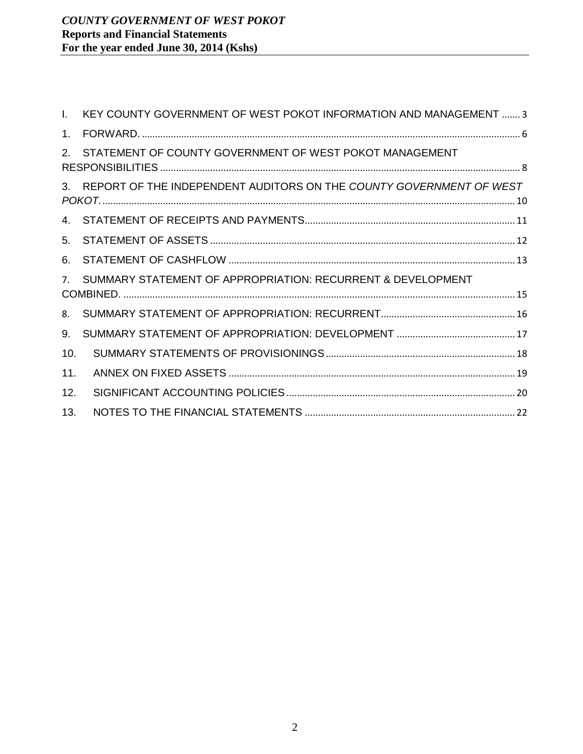| L.             | KEY COUNTY GOVERNMENT OF WEST POKOT INFORMATION AND MANAGEMENT  3      |  |
|----------------|------------------------------------------------------------------------|--|
| $1_{-}$        |                                                                        |  |
| 2.             | STATEMENT OF COUNTY GOVERNMENT OF WEST POKOT MANAGEMENT                |  |
|                | 3. REPORT OF THE INDEPENDENT AUDITORS ON THE COUNTY GOVERNMENT OF WEST |  |
|                |                                                                        |  |
| 5.             |                                                                        |  |
| 6.             |                                                                        |  |
| 7 <sup>1</sup> | SUMMARY STATEMENT OF APPROPRIATION: RECURRENT & DEVELOPMENT            |  |
| 8.             |                                                                        |  |
| 9.             |                                                                        |  |
| 10.            |                                                                        |  |
| 11.            |                                                                        |  |
| 12.            |                                                                        |  |
| 13.            |                                                                        |  |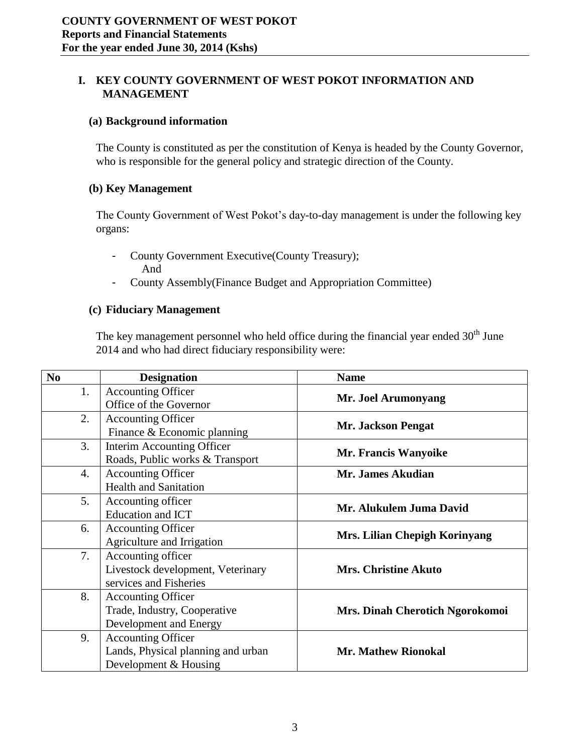## <span id="page-2-0"></span>**I. KEY COUNTY GOVERNMENT OF WEST POKOT INFORMATION AND MANAGEMENT**

#### **(a) Background information**

The County is constituted as per the constitution of Kenya is headed by the County Governor, who is responsible for the general policy and strategic direction of the County.

#### **(b) Key Management**

The County Government of West Pokot's day-to-day management is under the following key organs:

- County Government Executive(County Treasury); And
- County Assembly(Finance Budget and Appropriation Committee)

#### **(c) Fiduciary Management**

The key management personnel who held office during the financial year ended  $30<sup>th</sup>$  June 2014 and who had direct fiduciary responsibility were:

| N <sub>0</sub> | <b>Designation</b>                 | <b>Name</b>                     |
|----------------|------------------------------------|---------------------------------|
| 1.             | <b>Accounting Officer</b>          |                                 |
|                | Office of the Governor             | Mr. Joel Arumonyang             |
| 2.             | <b>Accounting Officer</b>          | <b>Mr. Jackson Pengat</b>       |
|                | Finance & Economic planning        |                                 |
| 3.             | Interim Accounting Officer         | Mr. Francis Wanyoike            |
|                | Roads, Public works & Transport    |                                 |
| 4.             | <b>Accounting Officer</b>          | Mr. James Akudian               |
|                | <b>Health and Sanitation</b>       |                                 |
| 5.             | Accounting officer                 | Mr. Alukulem Juma David         |
|                | <b>Education and ICT</b>           |                                 |
| 6.             | <b>Accounting Officer</b>          | Mrs. Lilian Chepigh Korinyang   |
|                | Agriculture and Irrigation         |                                 |
| 7.             | Accounting officer                 |                                 |
|                | Livestock development, Veterinary  | <b>Mrs. Christine Akuto</b>     |
|                | services and Fisheries             |                                 |
| 8.             | <b>Accounting Officer</b>          |                                 |
|                | Trade, Industry, Cooperative       | Mrs. Dinah Cherotich Ngorokomoi |
|                | Development and Energy             |                                 |
| 9.             | <b>Accounting Officer</b>          |                                 |
|                | Lands, Physical planning and urban | <b>Mr. Mathew Rionokal</b>      |
|                | Development & Housing              |                                 |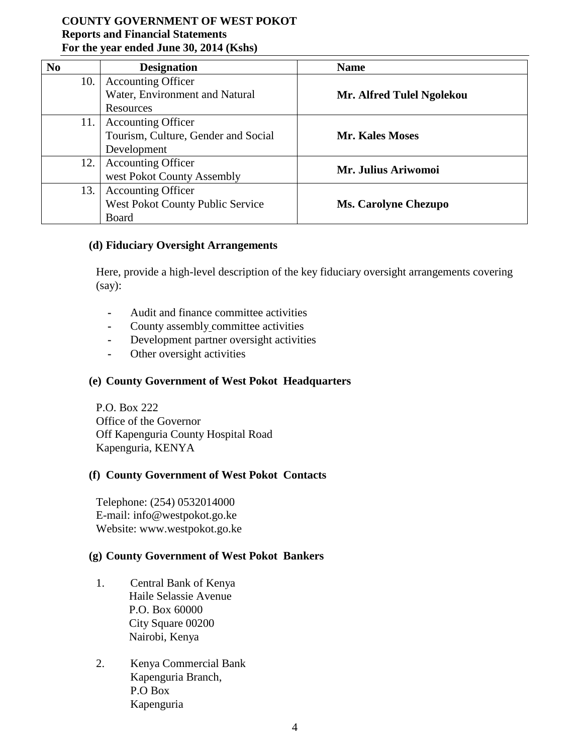| N <sub>0</sub> | <b>Designation</b>                      | <b>Name</b>                 |
|----------------|-----------------------------------------|-----------------------------|
| 10.            | <b>Accounting Officer</b>               |                             |
|                | Water, Environment and Natural          | Mr. Alfred Tulel Ngolekou   |
|                | Resources                               |                             |
| 11.            | <b>Accounting Officer</b>               |                             |
|                | Tourism, Culture, Gender and Social     | <b>Mr. Kales Moses</b>      |
|                | Development                             |                             |
| 12.            | <b>Accounting Officer</b>               | Mr. Julius Ariwomoi         |
|                | west Pokot County Assembly              |                             |
| 13.            | <b>Accounting Officer</b>               |                             |
|                | <b>West Pokot County Public Service</b> | <b>Ms. Carolyne Chezupo</b> |
|                | Board                                   |                             |

#### **(d) Fiduciary Oversight Arrangements**

Here, provide a high-level description of the key fiduciary oversight arrangements covering (say):

- **-** Audit and finance committee activities
- **-** County assembly committee activities
- **-** Development partner oversight activities
- **-** Other oversight activities

#### **(e) County Government of West Pokot Headquarters**

P.O. Box 222 Office of the Governor Off Kapenguria County Hospital Road Kapenguria, KENYA

#### **(f) County Government of West Pokot Contacts**

Telephone: (254) 0532014000 E-mail: info@westpokot.go.ke Website: www.westpokot.go.ke

#### **(g) County Government of West Pokot Bankers**

- 1. Central Bank of Kenya Haile Selassie Avenue P.O. Box 60000 City Square 00200 Nairobi, Kenya
- 2. Kenya Commercial Bank Kapenguria Branch, P.O Box Kapenguria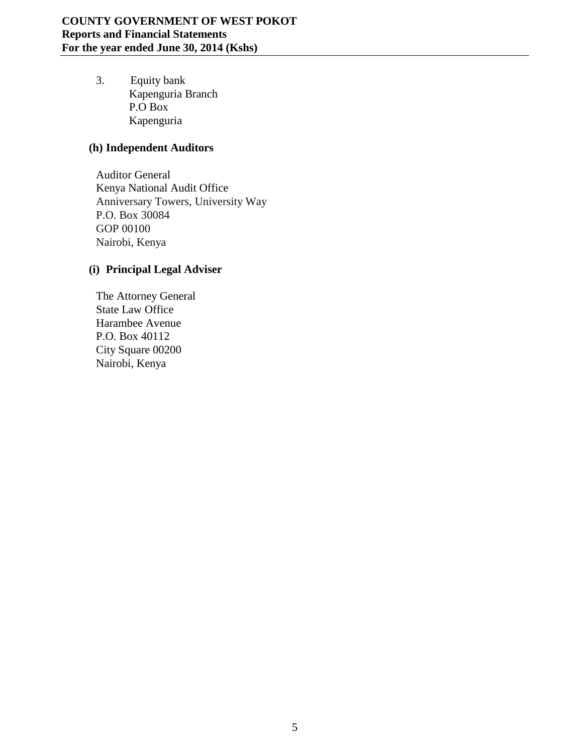3. Equity bank Kapenguria Branch P.O Box Kapenguria

# **(h) Independent Auditors**

Auditor General Kenya National Audit Office Anniversary Towers, University Way P.O. Box 30084 GOP 00100 Nairobi, Kenya

# **(i) Principal Legal Adviser**

The Attorney General State Law Office Harambee Avenue P.O. Box 40112 City Square 00200 Nairobi, Kenya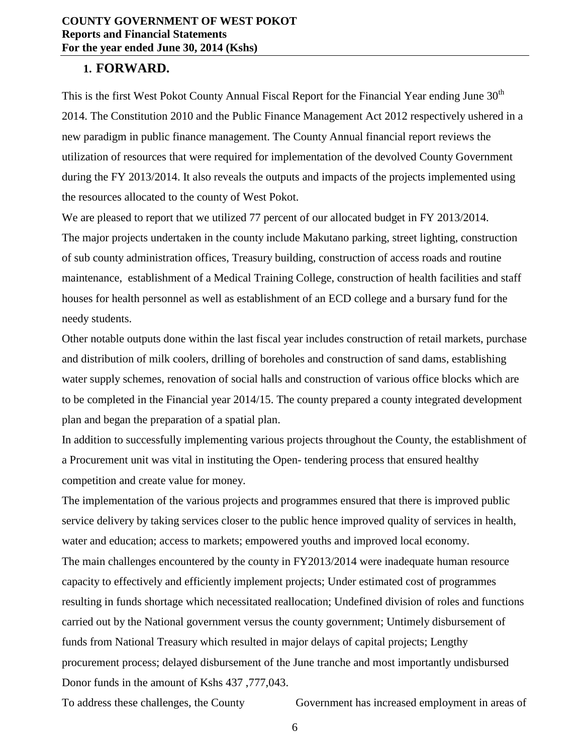#### <span id="page-5-0"></span>**1. FORWARD.**

This is the first West Pokot County Annual Fiscal Report for the Financial Year ending June 30<sup>th</sup> 2014. The Constitution 2010 and the Public Finance Management Act 2012 respectively ushered in a new paradigm in public finance management. The County Annual financial report reviews the utilization of resources that were required for implementation of the devolved County Government during the FY 2013/2014. It also reveals the outputs and impacts of the projects implemented using the resources allocated to the county of West Pokot.

We are pleased to report that we utilized 77 percent of our allocated budget in FY 2013/2014. The major projects undertaken in the county include Makutano parking, street lighting, construction of sub county administration offices, Treasury building, construction of access roads and routine maintenance, establishment of a Medical Training College, construction of health facilities and staff houses for health personnel as well as establishment of an ECD college and a bursary fund for the needy students.

Other notable outputs done within the last fiscal year includes construction of retail markets, purchase and distribution of milk coolers, drilling of boreholes and construction of sand dams, establishing water supply schemes, renovation of social halls and construction of various office blocks which are to be completed in the Financial year 2014/15. The county prepared a county integrated development plan and began the preparation of a spatial plan.

In addition to successfully implementing various projects throughout the County, the establishment of a Procurement unit was vital in instituting the Open- tendering process that ensured healthy competition and create value for money.

The implementation of the various projects and programmes ensured that there is improved public service delivery by taking services closer to the public hence improved quality of services in health, water and education; access to markets; empowered youths and improved local economy.

The main challenges encountered by the county in FY2013/2014 were inadequate human resource capacity to effectively and efficiently implement projects; Under estimated cost of programmes resulting in funds shortage which necessitated reallocation; Undefined division of roles and functions carried out by the National government versus the county government; Untimely disbursement of funds from National Treasury which resulted in major delays of capital projects; Lengthy procurement process; delayed disbursement of the June tranche and most importantly undisbursed Donor funds in the amount of Kshs 437 ,777,043.

To address these challenges, the County Government has increased employment in areas of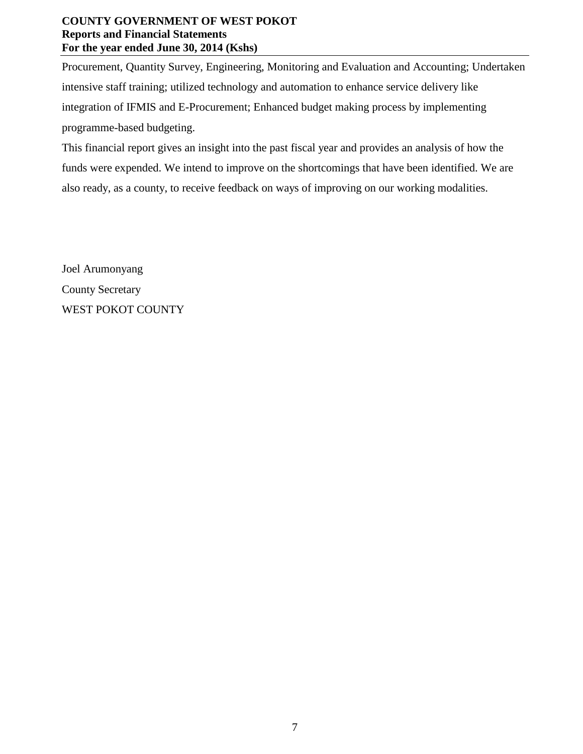Procurement, Quantity Survey, Engineering, Monitoring and Evaluation and Accounting; Undertaken intensive staff training; utilized technology and automation to enhance service delivery like integration of IFMIS and E-Procurement; Enhanced budget making process by implementing programme-based budgeting.

This financial report gives an insight into the past fiscal year and provides an analysis of how the funds were expended. We intend to improve on the shortcomings that have been identified. We are also ready, as a county, to receive feedback on ways of improving on our working modalities.

Joel Arumonyang County Secretary WEST POKOT COUNTY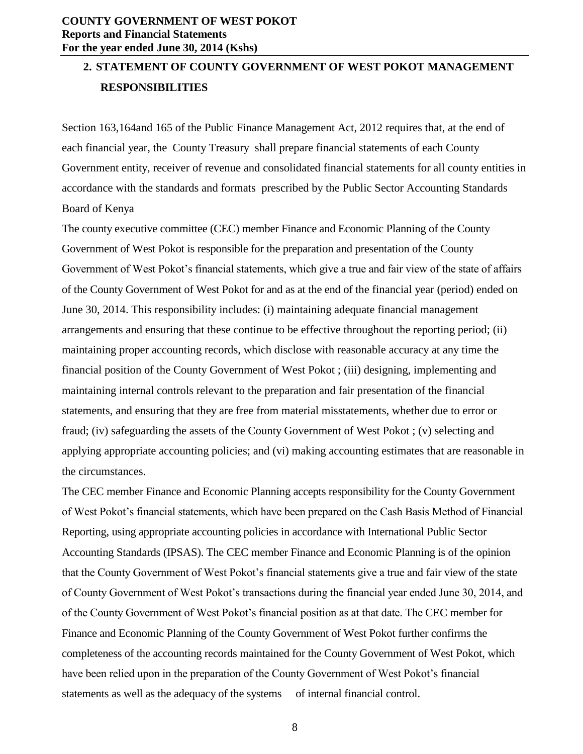# <span id="page-7-0"></span>**2. STATEMENT OF COUNTY GOVERNMENT OF WEST POKOT MANAGEMENT RESPONSIBILITIES**

Section 163,164and 165 of the Public Finance Management Act, 2012 requires that, at the end of each financial year, the County Treasury shall prepare financial statements of each County Government entity, receiver of revenue and consolidated financial statements for all county entities in accordance with the standards and formats prescribed by the Public Sector Accounting Standards Board of Kenya

The county executive committee (CEC) member Finance and Economic Planning of the County Government of West Pokot is responsible for the preparation and presentation of the County Government of West Pokot's financial statements, which give a true and fair view of the state of affairs of the County Government of West Pokot for and as at the end of the financial year (period) ended on June 30, 2014. This responsibility includes: (i) maintaining adequate financial management arrangements and ensuring that these continue to be effective throughout the reporting period; (ii) maintaining proper accounting records, which disclose with reasonable accuracy at any time the financial position of the County Government of West Pokot ; (iii) designing, implementing and maintaining internal controls relevant to the preparation and fair presentation of the financial statements, and ensuring that they are free from material misstatements, whether due to error or fraud; (iv) safeguarding the assets of the County Government of West Pokot ; (v) selecting and applying appropriate accounting policies; and (vi) making accounting estimates that are reasonable in the circumstances.

The CEC member Finance and Economic Planning accepts responsibility for the County Government of West Pokot's financial statements, which have been prepared on the Cash Basis Method of Financial Reporting, using appropriate accounting policies in accordance with International Public Sector Accounting Standards (IPSAS). The CEC member Finance and Economic Planning is of the opinion that the County Government of West Pokot's financial statements give a true and fair view of the state of County Government of West Pokot's transactions during the financial year ended June 30, 2014, and of the County Government of West Pokot's financial position as at that date. The CEC member for Finance and Economic Planning of the County Government of West Pokot further confirms the completeness of the accounting records maintained for the County Government of West Pokot, which have been relied upon in the preparation of the County Government of West Pokot's financial statements as well as the adequacy of the systems of internal financial control.

8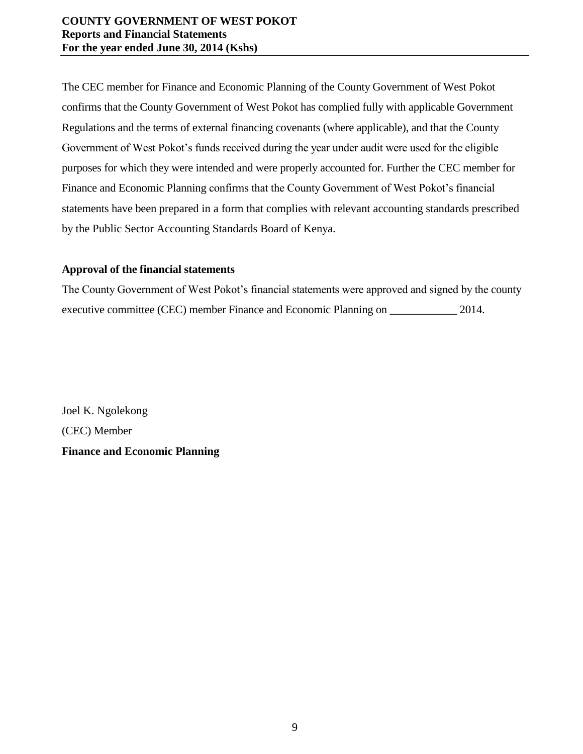The CEC member for Finance and Economic Planning of the County Government of West Pokot confirms that the County Government of West Pokot has complied fully with applicable Government Regulations and the terms of external financing covenants (where applicable), and that the County Government of West Pokot's funds received during the year under audit were used for the eligible purposes for which they were intended and were properly accounted for. Further the CEC member for Finance and Economic Planning confirms that the County Government of West Pokot's financial statements have been prepared in a form that complies with relevant accounting standards prescribed by the Public Sector Accounting Standards Board of Kenya.

### **Approval of the financial statements**

The County Government of West Pokot's financial statements were approved and signed by the county executive committee (CEC) member Finance and Economic Planning on  $2014$ .

Joel K. Ngolekong (CEC) Member **Finance and Economic Planning**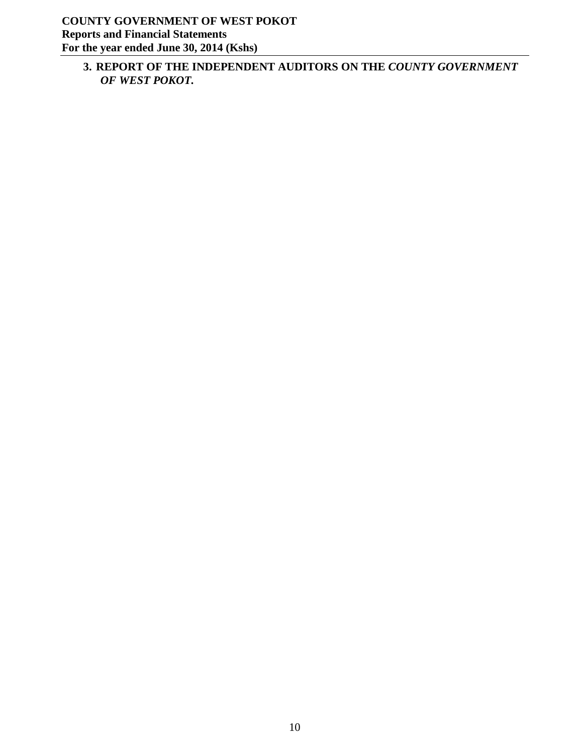<span id="page-9-0"></span>**3. REPORT OF THE INDEPENDENT AUDITORS ON THE** *COUNTY GOVERNMENT OF WEST POKOT.*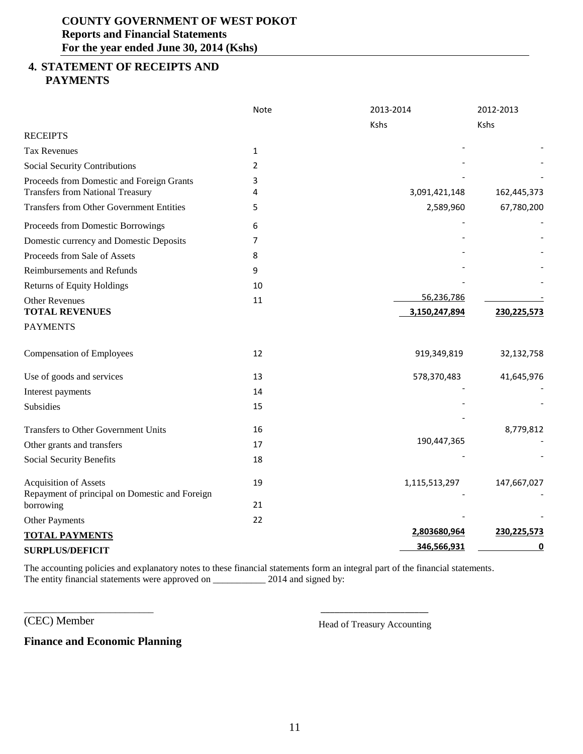### <span id="page-10-0"></span>**4. STATEMENT OF RECEIPTS AND PAYMENTS**

|                                                                                      | Note           | 2013-2014     | 2012-2013   |
|--------------------------------------------------------------------------------------|----------------|---------------|-------------|
|                                                                                      |                | Kshs          | Kshs        |
| <b>RECEIPTS</b>                                                                      |                |               |             |
| <b>Tax Revenues</b>                                                                  | $\mathbf{1}$   |               |             |
| Social Security Contributions                                                        | $\overline{2}$ |               |             |
| Proceeds from Domestic and Foreign Grants<br><b>Transfers from National Treasury</b> | 3<br>4         | 3,091,421,148 | 162,445,373 |
| <b>Transfers from Other Government Entities</b>                                      | 5              | 2,589,960     | 67,780,200  |
| Proceeds from Domestic Borrowings                                                    | 6              |               |             |
| Domestic currency and Domestic Deposits                                              | 7              |               |             |
| Proceeds from Sale of Assets                                                         | 8              |               |             |
| Reimbursements and Refunds                                                           | 9              |               |             |
| <b>Returns of Equity Holdings</b>                                                    | 10             |               |             |
| <b>Other Revenues</b>                                                                | 11             | 56,236,786    |             |
| <b>TOTAL REVENUES</b>                                                                |                | 3,150,247,894 | 230,225,573 |
| <b>PAYMENTS</b>                                                                      |                |               |             |
| <b>Compensation of Employees</b>                                                     | 12             | 919,349,819   | 32,132,758  |
| Use of goods and services                                                            | 13             | 578,370,483   | 41,645,976  |
| Interest payments                                                                    | 14             |               |             |
| Subsidies                                                                            | 15             |               |             |
| <b>Transfers to Other Government Units</b>                                           | 16             |               | 8,779,812   |
| Other grants and transfers                                                           | 17             | 190,447,365   |             |
| Social Security Benefits                                                             | 18             |               |             |
| <b>Acquisition of Assets</b><br>Repayment of principal on Domestic and Foreign       | 19             | 1,115,513,297 | 147,667,027 |
| borrowing                                                                            | 21             |               |             |
| Other Payments                                                                       | 22             |               |             |
| <b>TOTAL PAYMENTS</b>                                                                |                | 2,803680,964  | 230,225,573 |
| <b>SURPLUS/DEFICIT</b>                                                               |                | 346,566,931   | <u>0</u>    |

The accounting policies and explanatory notes to these financial statements form an integral part of the financial statements. The entity financial statements were approved on \_\_\_\_\_\_\_\_\_\_\_\_\_\_ 2014 and signed by:

\_\_\_\_\_\_\_\_\_\_\_\_\_\_\_\_\_\_\_\_\_\_\_\_\_\_\_ \_\_\_\_\_\_\_\_\_\_\_\_\_\_\_\_\_\_\_\_\_\_\_

(CEC) Member Head of Treasury Accounting

**Finance and Economic Planning**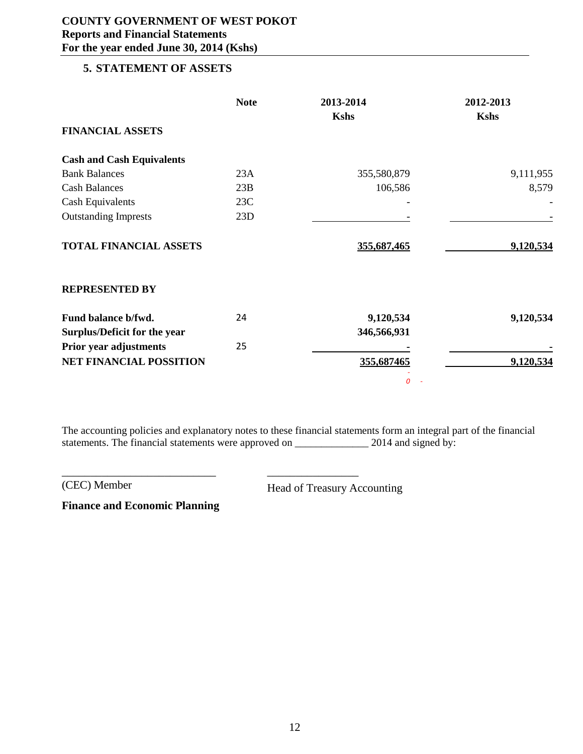#### <span id="page-11-0"></span>**5. STATEMENT OF ASSETS**

|                                  | <b>Note</b> | 2013-2014   | 2012-2013   |
|----------------------------------|-------------|-------------|-------------|
|                                  |             | <b>Kshs</b> | <b>Kshs</b> |
| <b>FINANCIAL ASSETS</b>          |             |             |             |
| <b>Cash and Cash Equivalents</b> |             |             |             |
| <b>Bank Balances</b>             | 23A         | 355,580,879 | 9,111,955   |
| <b>Cash Balances</b>             | 23B         | 106,586     | 8,579       |
| <b>Cash Equivalents</b>          | 23C         |             |             |
| <b>Outstanding Imprests</b>      | 23D         |             |             |
| TOTAL FINANCIAL ASSETS           |             | 355,687,465 | 9,120,534   |
| <b>REPRESENTED BY</b>            |             |             |             |
| Fund balance b/fwd.              | 24          | 9,120,534   | 9,120,534   |
| Surplus/Deficit for the year     |             | 346,566,931 |             |
| Prior year adjustments           | 25          |             |             |
| <b>NET FINANCIAL POSSITION</b>   |             | 355,687465  | 9,120,534   |
|                                  |             | 0           |             |

The accounting policies and explanatory notes to these financial statements form an integral part of the financial statements. The financial statements were approved on \_\_\_\_\_\_\_\_\_\_\_\_\_\_\_\_\_\_\_\_ 2014 and signed by:

(CEC) Member Head of Treasury Accounting

**Finance and Economic Planning**

\_\_\_\_\_\_\_\_\_\_\_\_\_\_\_\_\_\_\_\_\_\_\_\_\_\_\_ \_\_\_\_\_\_\_\_\_\_\_\_\_\_\_\_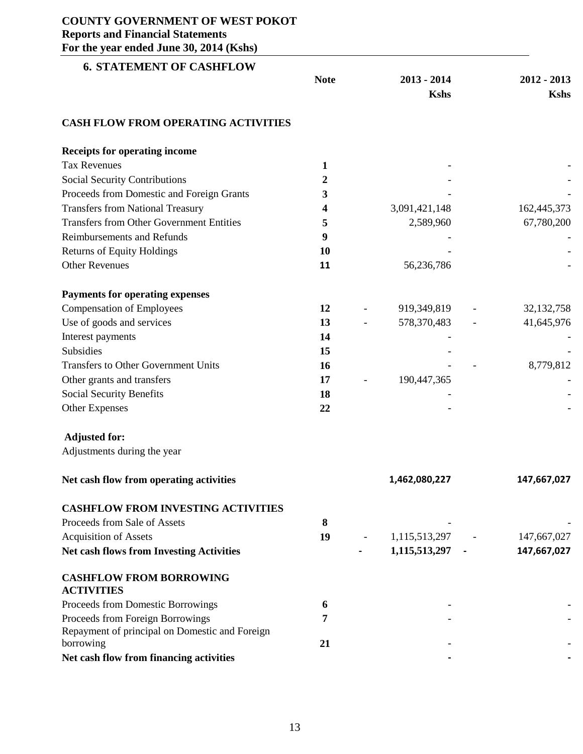<span id="page-12-0"></span>

| $\frac{1}{2}$<br><b>6. STATEMENT OF CASHFLOW</b>            |             |                              |                              |
|-------------------------------------------------------------|-------------|------------------------------|------------------------------|
|                                                             | <b>Note</b> | $2013 - 2014$<br><b>Kshs</b> | $2012 - 2013$<br><b>Kshs</b> |
| <b>CASH FLOW FROM OPERATING ACTIVITIES</b>                  |             |                              |                              |
| <b>Receipts for operating income</b>                        |             |                              |                              |
| <b>Tax Revenues</b>                                         | 1           |                              |                              |
| <b>Social Security Contributions</b>                        | 2           |                              |                              |
| Proceeds from Domestic and Foreign Grants                   | 3           |                              |                              |
| <b>Transfers from National Treasury</b>                     | 4           | 3,091,421,148                | 162,445,373                  |
| <b>Transfers from Other Government Entities</b>             | 5           | 2,589,960                    | 67,780,200                   |
| <b>Reimbursements and Refunds</b>                           | 9           |                              |                              |
| <b>Returns of Equity Holdings</b>                           | 10          |                              |                              |
| <b>Other Revenues</b>                                       | 11          | 56,236,786                   |                              |
| <b>Payments for operating expenses</b>                      |             |                              |                              |
| <b>Compensation of Employees</b>                            | 12          | 919,349,819                  | 32, 132, 758                 |
| Use of goods and services                                   | 13          | 578,370,483                  | 41,645,976                   |
| Interest payments                                           | 14          |                              |                              |
| Subsidies                                                   | 15          |                              |                              |
| <b>Transfers to Other Government Units</b>                  | 16          |                              | 8,779,812                    |
| Other grants and transfers                                  | 17          | 190,447,365                  |                              |
| Social Security Benefits                                    | 18          |                              |                              |
| <b>Other Expenses</b>                                       | 22          |                              |                              |
| <b>Adjusted for:</b>                                        |             |                              |                              |
| Adjustments during the year                                 |             |                              |                              |
| Net cash flow from operating activities                     |             | 1,462,080,227                | 147,667,027                  |
| <b>CASHFLOW FROM INVESTING ACTIVITIES</b>                   |             |                              |                              |
| Proceeds from Sale of Assets                                | 8           |                              |                              |
| <b>Acquisition of Assets</b>                                | 19          | 1,115,513,297                | 147,667,027                  |
| <b>Net cash flows from Investing Activities</b>             |             | 1,115,513,297 -              | 147,667,027                  |
| <b>CASHFLOW FROM BORROWING</b>                              |             |                              |                              |
| <b>ACTIVITIES</b>                                           |             |                              |                              |
| Proceeds from Domestic Borrowings                           | 6           |                              |                              |
| Proceeds from Foreign Borrowings                            | 7           |                              |                              |
| Repayment of principal on Domestic and Foreign<br>borrowing | 21          |                              |                              |
| Net cash flow from financing activities                     |             |                              |                              |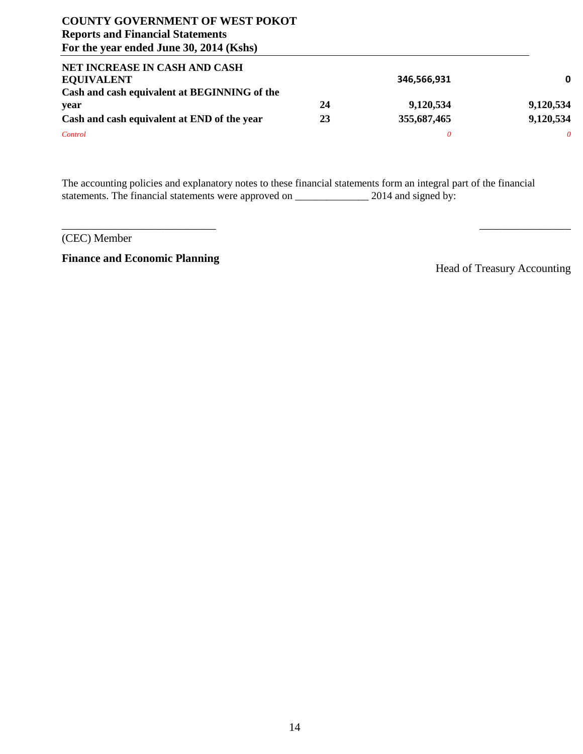| NET INCREASE IN CASH AND CASH                |    |             |           |
|----------------------------------------------|----|-------------|-----------|
| <b>EQUIVALENT</b>                            |    | 346,566,931 | 0         |
| Cash and cash equivalent at BEGINNING of the |    |             |           |
| year                                         | 24 | 9,120,534   | 9,120,534 |
| Cash and cash equivalent at END of the year  | 23 | 355,687,465 | 9,120,534 |
| Control                                      |    | 0           |           |

The accounting policies and explanatory notes to these financial statements form an integral part of the financial statements. The financial statements were approved on \_\_\_\_\_\_\_\_\_\_\_\_\_\_\_\_\_\_\_\_ 2014 and signed by:

 $\overline{\phantom{a}}$  , and the contract of the contract of the contract of the contract of the contract of the contract of the contract of the contract of the contract of the contract of the contract of the contract of the contrac

(CEC) Member

**Finance and Economic Planning**

Head of Treasury Accounting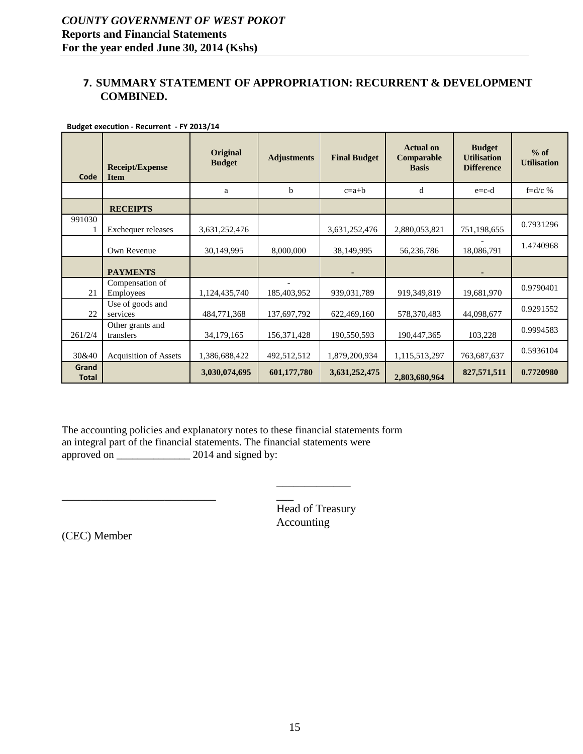#### <span id="page-14-0"></span>**7. SUMMARY STATEMENT OF APPROPRIATION: RECURRENT & DEVELOPMENT COMBINED.**

| Code                  | <b>Receipt/Expense</b><br><b>Item</b> | <b>Original</b><br><b>Budget</b> | <b>Adjustments</b> | <b>Final Budget</b> | <b>Actual on</b><br>Comparable<br><b>Basis</b> | <b>Budget</b><br><b>Utilisation</b><br><b>Difference</b> | $%$ of<br><b>Utilisation</b> |
|-----------------------|---------------------------------------|----------------------------------|--------------------|---------------------|------------------------------------------------|----------------------------------------------------------|------------------------------|
|                       |                                       | a                                | b                  | $c=a+b$             | d                                              | $e = c-d$                                                | $f = d/c$ %                  |
|                       | <b>RECEIPTS</b>                       |                                  |                    |                     |                                                |                                                          |                              |
| 991030                | Exchequer releases                    | 3,631,252,476                    |                    | 3,631,252,476       | 2,880,053,821                                  | 751,198,655                                              | 0.7931296                    |
|                       | Own Revenue                           | 30,149,995                       | 8,000,000          | 38,149,995          | 56,236,786                                     | 18,086,791                                               | 1.4740968                    |
|                       | <b>PAYMENTS</b>                       |                                  |                    |                     |                                                |                                                          |                              |
| 21                    | Compensation of<br>Employees          | 1,124,435,740                    | 185,403,952        | 939,031,789         | 919,349,819                                    | 19,681,970                                               | 0.9790401                    |
| 22                    | Use of goods and<br>services          | 484,771,368                      | 137,697,792        | 622,469,160         | 578,370,483                                    | 44,098,677                                               | 0.9291552                    |
| 261/2/4               | Other grants and<br>transfers         | 34,179,165                       | 156,371,428        | 190,550,593         | 190,447,365                                    | 103,228                                                  | 0.9994583                    |
| 30&40                 | <b>Acquisition of Assets</b>          | 1,386,688,422                    | 492,512,512        | 1,879,200,934       | 1,115,513,297                                  | 763,687,637                                              | 0.5936104                    |
| Grand<br><b>Total</b> |                                       | 3,030,074,695                    | 601,177,780        | 3,631,252,475       | 2,803,680,964                                  | 827,571,511                                              | 0.7720980                    |

**Budget execution - Recurrent - FY 2013/14**

The accounting policies and explanatory notes to these financial statements form an integral part of the financial statements. The financial statements were approved on \_\_\_\_\_\_\_\_\_\_\_\_\_\_\_\_\_\_\_\_ 2014 and signed by:

> Head of Treasury Accounting

\_\_\_\_\_\_\_\_\_\_\_\_\_

 $\overline{\phantom{a}}$ 

(CEC) Member

\_\_\_\_\_\_\_\_\_\_\_\_\_\_\_\_\_\_\_\_\_\_\_\_\_\_\_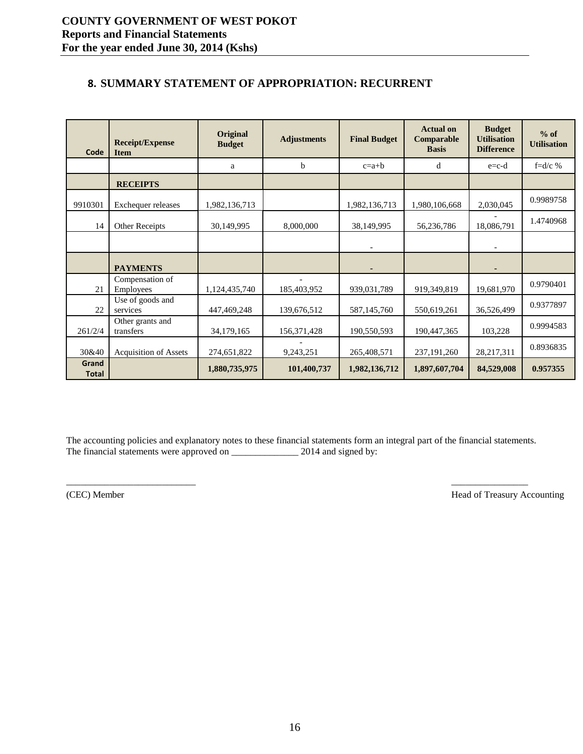# <span id="page-15-0"></span>**8. SUMMARY STATEMENT OF APPROPRIATION: RECURRENT**

| Code                  | <b>Receipt/Expense</b><br><b>Item</b> | Original<br><b>Budget</b> | <b>Adjustments</b> | <b>Final Budget</b> | <b>Actual on</b><br>Comparable<br><b>Basis</b> | <b>Budget</b><br><b>Utilisation</b><br><b>Difference</b> | $%$ of<br><b>Utilisation</b> |
|-----------------------|---------------------------------------|---------------------------|--------------------|---------------------|------------------------------------------------|----------------------------------------------------------|------------------------------|
|                       |                                       | a                         | b                  | $c=a+b$             | d                                              | $e = c-d$                                                | f= $d/c$ %                   |
|                       | <b>RECEIPTS</b>                       |                           |                    |                     |                                                |                                                          |                              |
| 9910301               | Exchequer releases                    | 1,982,136,713             |                    | 1,982,136,713       | 1,980,106,668                                  | 2,030,045                                                | 0.9989758                    |
| 14                    | Other Receipts                        | 30,149,995                | 8,000,000          | 38,149,995          | 56,236,786                                     | 18,086,791                                               | 1.4740968                    |
|                       |                                       |                           |                    |                     |                                                |                                                          |                              |
|                       | <b>PAYMENTS</b>                       |                           |                    |                     |                                                |                                                          |                              |
| 21                    | Compensation of<br>Employees          | 1,124,435,740             | 185,403,952        | 939,031,789         | 919,349,819                                    | 19,681,970                                               | 0.9790401                    |
| 22                    | Use of goods and<br>services          | 447,469,248               | 139,676,512        | 587,145,760         | 550,619,261                                    | 36,526,499                                               | 0.9377897                    |
| 261/2/4               | Other grants and<br>transfers         | 34,179,165                | 156,371,428        | 190,550,593         | 190,447,365                                    | 103,228                                                  | 0.9994583                    |
| 30&40                 | <b>Acquisition of Assets</b>          | 274,651,822               | 9,243,251          | 265,408,571         | 237, 191, 260                                  | 28,217,311                                               | 0.8936835                    |
| Grand<br><b>Total</b> |                                       | 1,880,735,975             | 101,400,737        | 1,982,136,712       | 1,897,607,704                                  | 84,529,008                                               | 0.957355                     |

The accounting policies and explanatory notes to these financial statements form an integral part of the financial statements. The financial statements were approved on \_\_\_\_\_\_\_\_\_\_\_\_\_\_\_\_\_ 2014 and signed by:

(CEC) Member Head of Treasury Accounting Head of Treasury Accounting

\_\_\_\_\_\_\_\_\_\_\_\_\_\_\_\_\_\_\_\_\_\_\_\_\_\_\_ \_\_\_\_\_\_\_\_\_\_\_\_\_\_\_\_ \_\_\_\_\_\_\_\_\_\_\_\_\_\_\_\_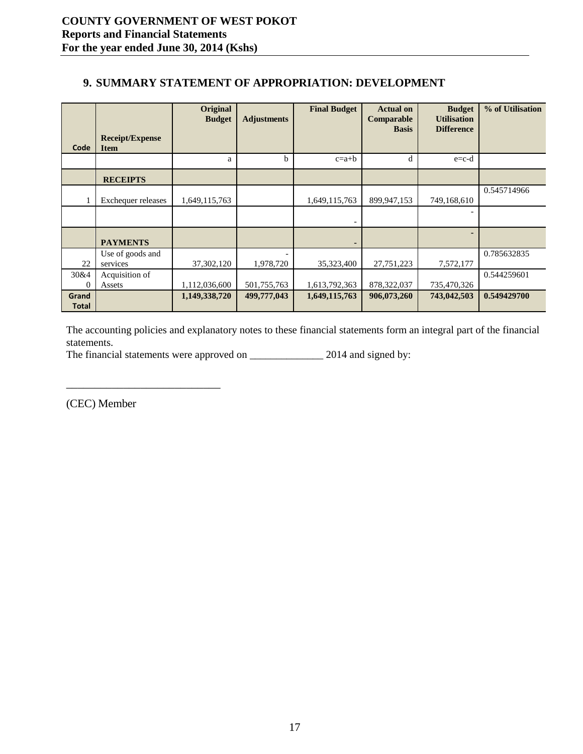## <span id="page-16-0"></span>**9. SUMMARY STATEMENT OF APPROPRIATION: DEVELOPMENT**

| Code                  | <b>Receipt/Expense</b><br><b>Item</b> | Original<br><b>Budget</b> | <b>Adjustments</b> | <b>Final Budget</b> | <b>Actual on</b><br>Comparable<br><b>Basis</b> | <b>Budget</b><br><b>Utilisation</b><br><b>Difference</b> | % of Utilisation |
|-----------------------|---------------------------------------|---------------------------|--------------------|---------------------|------------------------------------------------|----------------------------------------------------------|------------------|
|                       |                                       | a                         | b                  | $c=a+b$             | d                                              | $e = c - d$                                              |                  |
|                       | <b>RECEIPTS</b>                       |                           |                    |                     |                                                |                                                          |                  |
|                       | <b>Exchequer releases</b>             | 1,649,115,763             |                    | 1,649,115,763       | 899,947,153                                    | 749,168,610                                              | 0.545714966      |
|                       |                                       |                           |                    |                     |                                                |                                                          |                  |
|                       | <b>PAYMENTS</b>                       |                           |                    |                     |                                                |                                                          |                  |
| 22                    | Use of goods and<br>services          | 37,302,120                | 1,978,720          | 35,323,400          | 27,751,223                                     | 7,572,177                                                | 0.785632835      |
| 30&4<br>$\theta$      | Acquisition of<br>Assets              | 1,112,036,600             | 501,755,763        | 1,613,792,363       | 878,322,037                                    | 735,470,326                                              | 0.544259601      |
| Grand<br><b>Total</b> |                                       | 1,149,338,720             | 499,777,043        | 1,649,115,763       | 906,073,260                                    | 743,042,503                                              | 0.549429700      |

The accounting policies and explanatory notes to these financial statements form an integral part of the financial statements.

\_\_\_\_\_\_\_\_\_\_\_\_\_\_\_\_\_\_\_\_\_\_\_\_\_\_\_ \_\_\_\_\_\_\_\_\_\_\_\_\_\_\_\_ \_\_\_\_\_\_\_\_\_\_\_\_\_\_\_\_

The financial statements were approved on \_\_\_\_\_\_\_\_\_\_\_\_\_\_\_\_\_ 2014 and signed by:

(CEC) Member Head of Treasury Accounting Accounting Accounting Accounting Accounting Accounting Accounting Accounting Accounting Accounting Accounting Accounting Accounting Accounting Accounting Accounting Accounting Accou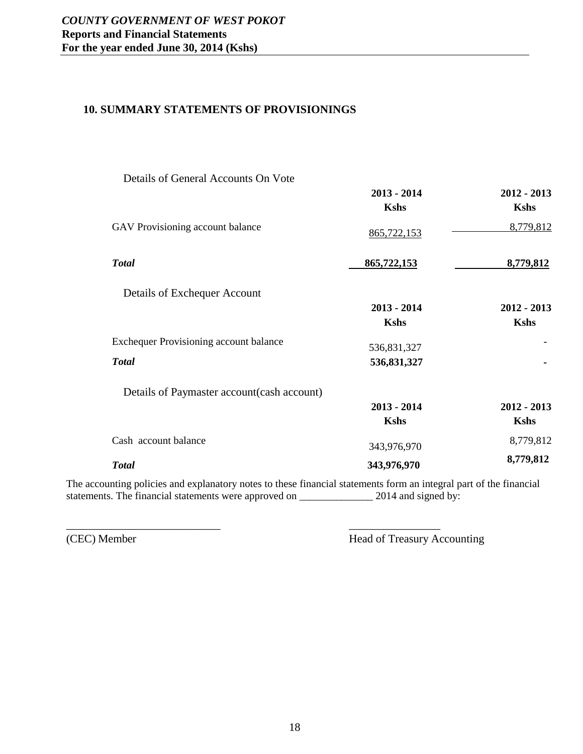#### <span id="page-17-0"></span>**10. SUMMARY STATEMENTS OF PROVISIONINGS**

| Details of General Accounts On Vote           |               |               |
|-----------------------------------------------|---------------|---------------|
|                                               | $2013 - 2014$ | $2012 - 2013$ |
|                                               | <b>Kshs</b>   | <b>Kshs</b>   |
| GAV Provisioning account balance              | 865,722,153   | 8,779,812     |
| <b>Total</b>                                  | 865,722,153   | 8,779,812     |
| Details of Exchequer Account                  |               |               |
|                                               | $2013 - 2014$ | $2012 - 2013$ |
|                                               | <b>Kshs</b>   | <b>Kshs</b>   |
| <b>Exchequer Provisioning account balance</b> | 536,831,327   |               |
| <b>Total</b>                                  | 536,831,327   |               |
| Details of Paymaster account (cash account)   |               |               |
|                                               | $2013 - 2014$ | $2012 - 2013$ |
|                                               | <b>Kshs</b>   | <b>Kshs</b>   |
| Cash account balance                          | 343,976,970   | 8,779,812     |
| <b>Total</b>                                  | 343,976,970   | 8,779,812     |

The accounting policies and explanatory notes to these financial statements form an integral part of the financial statements. The financial statements were approved on \_\_\_\_\_\_\_\_\_\_\_\_\_\_ 2014 and signed by:

\_\_\_\_\_\_\_\_\_\_\_\_\_\_\_\_\_\_\_\_\_\_\_\_\_\_\_ \_\_\_\_\_\_\_\_\_\_\_\_\_\_\_\_

(CEC) Member Head of Treasury Accounting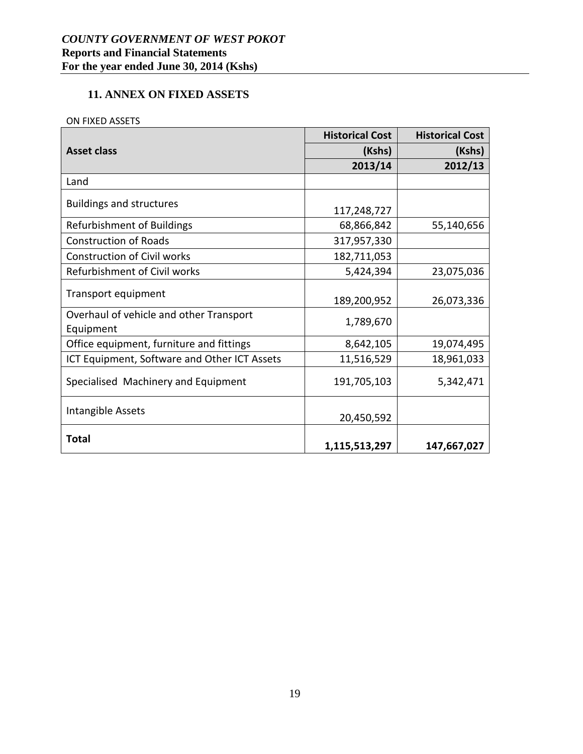# <span id="page-18-0"></span>**11. ANNEX ON FIXED ASSETS**

#### ON FIXED ASSETS

|                                                      | <b>Historical Cost</b> | <b>Historical Cost</b> |
|------------------------------------------------------|------------------------|------------------------|
| <b>Asset class</b>                                   | (Kshs)                 | (Kshs)                 |
|                                                      | 2013/14                | 2012/13                |
| Land                                                 |                        |                        |
| <b>Buildings and structures</b>                      | 117,248,727            |                        |
| <b>Refurbishment of Buildings</b>                    | 68,866,842             | 55,140,656             |
| <b>Construction of Roads</b>                         | 317,957,330            |                        |
| <b>Construction of Civil works</b>                   | 182,711,053            |                        |
| Refurbishment of Civil works                         | 5,424,394              | 23,075,036             |
| Transport equipment                                  | 189,200,952            | 26,073,336             |
| Overhaul of vehicle and other Transport<br>Equipment | 1,789,670              |                        |
| Office equipment, furniture and fittings             | 8,642,105              | 19,074,495             |
| ICT Equipment, Software and Other ICT Assets         | 11,516,529             | 18,961,033             |
| Specialised Machinery and Equipment                  | 191,705,103            | 5,342,471              |
| Intangible Assets                                    | 20,450,592             |                        |
| <b>Total</b>                                         | 1,115,513,297          | 147,667,027            |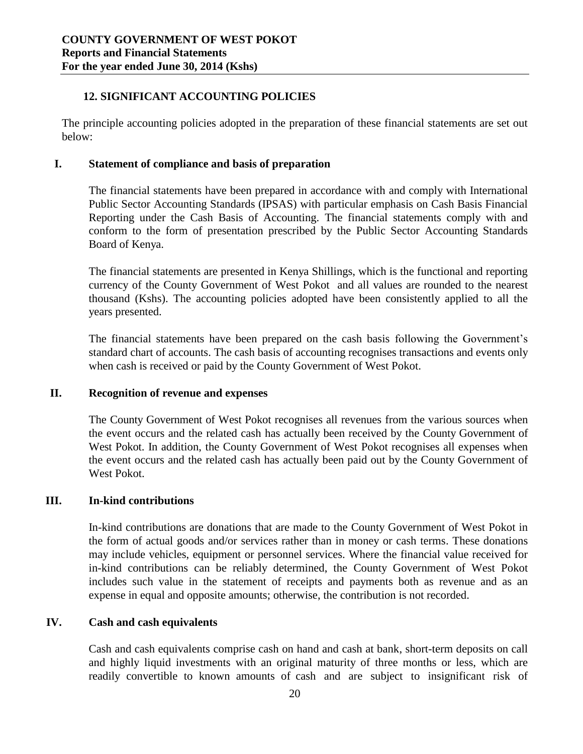#### <span id="page-19-0"></span>**12. SIGNIFICANT ACCOUNTING POLICIES**

The principle accounting policies adopted in the preparation of these financial statements are set out below:

#### **I. Statement of compliance and basis of preparation**

The financial statements have been prepared in accordance with and comply with International Public Sector Accounting Standards (IPSAS) with particular emphasis on Cash Basis Financial Reporting under the Cash Basis of Accounting. The financial statements comply with and conform to the form of presentation prescribed by the Public Sector Accounting Standards Board of Kenya.

The financial statements are presented in Kenya Shillings, which is the functional and reporting currency of the County Government of West Pokot and all values are rounded to the nearest thousand (Kshs). The accounting policies adopted have been consistently applied to all the years presented.

The financial statements have been prepared on the cash basis following the Government's standard chart of accounts. The cash basis of accounting recognises transactions and events only when cash is received or paid by the County Government of West Pokot.

#### **II. Recognition of revenue and expenses**

The County Government of West Pokot recognises all revenues from the various sources when the event occurs and the related cash has actually been received by the County Government of West Pokot. In addition, the County Government of West Pokot recognises all expenses when the event occurs and the related cash has actually been paid out by the County Government of West Pokot.

#### **III. In-kind contributions**

In-kind contributions are donations that are made to the County Government of West Pokot in the form of actual goods and/or services rather than in money or cash terms. These donations may include vehicles, equipment or personnel services. Where the financial value received for in-kind contributions can be reliably determined, the County Government of West Pokot includes such value in the statement of receipts and payments both as revenue and as an expense in equal and opposite amounts; otherwise, the contribution is not recorded.

#### **IV. Cash and cash equivalents**

Cash and cash equivalents comprise cash on hand and cash at bank, short-term deposits on call and highly liquid investments with an original maturity of three months or less, which are readily convertible to known amounts of cash and are subject to insignificant risk of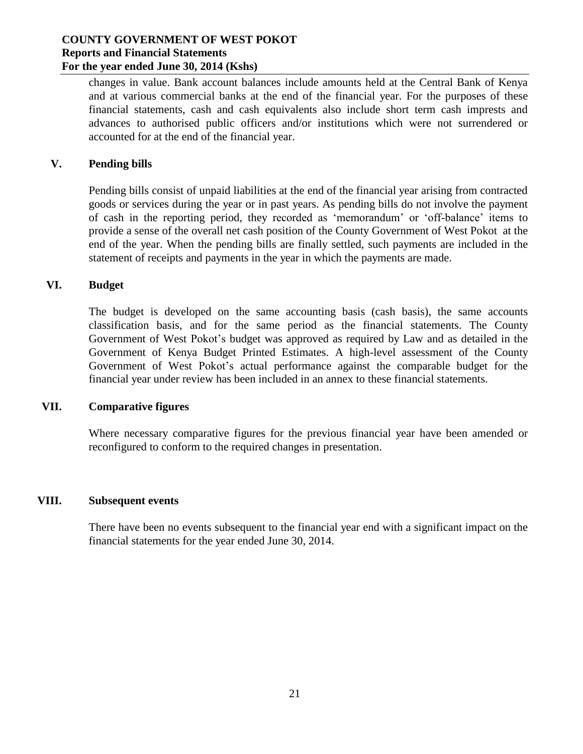changes in value. Bank account balances include amounts held at the Central Bank of Kenya and at various commercial banks at the end of the financial year. For the purposes of these financial statements, cash and cash equivalents also include short term cash imprests and advances to authorised public officers and/or institutions which were not surrendered or accounted for at the end of the financial year.

#### **V. Pending bills**

Pending bills consist of unpaid liabilities at the end of the financial year arising from contracted goods or services during the year or in past years. As pending bills do not involve the payment of cash in the reporting period, they recorded as 'memorandum' or 'off-balance' items to provide a sense of the overall net cash position of the County Government of West Pokot at the end of the year. When the pending bills are finally settled, such payments are included in the statement of receipts and payments in the year in which the payments are made.

#### **VI. Budget**

The budget is developed on the same accounting basis (cash basis), the same accounts classification basis, and for the same period as the financial statements. The County Government of West Pokot's budget was approved as required by Law and as detailed in the Government of Kenya Budget Printed Estimates. A high-level assessment of the County Government of West Pokot's actual performance against the comparable budget for the financial year under review has been included in an annex to these financial statements.

#### **VII. Comparative figures**

Where necessary comparative figures for the previous financial year have been amended or reconfigured to conform to the required changes in presentation.

#### **VIII. Subsequent events**

There have been no events subsequent to the financial year end with a significant impact on the financial statements for the year ended June 30, 2014.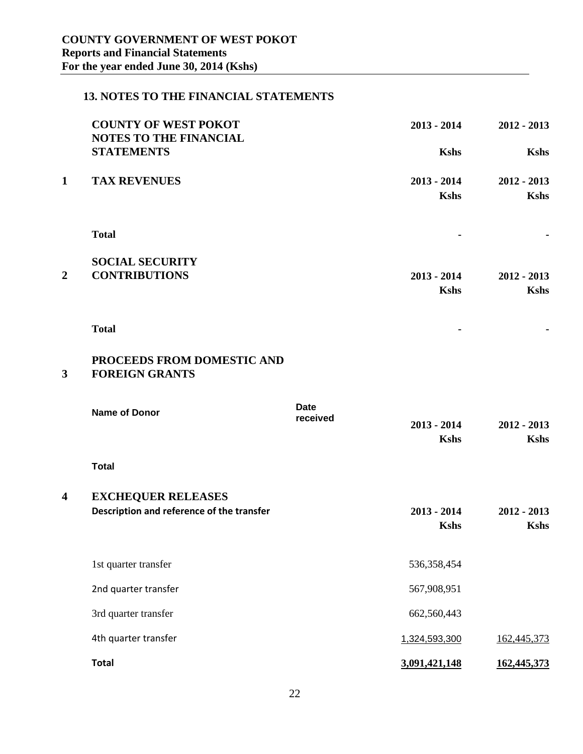# <span id="page-21-0"></span>**13. NOTES TO THE FINANCIAL STATEMENTS**

|                         | <b>COUNTY OF WEST POKOT</b><br><b>NOTES TO THE FINANCIAL</b> |                         | $2013 - 2014$                | $2012 - 2013$                |
|-------------------------|--------------------------------------------------------------|-------------------------|------------------------------|------------------------------|
|                         | <b>STATEMENTS</b>                                            |                         | <b>Kshs</b>                  | <b>Kshs</b>                  |
| $\mathbf{1}$            | <b>TAX REVENUES</b>                                          |                         | $2013 - 2014$<br><b>Kshs</b> | $2012 - 2013$<br><b>Kshs</b> |
|                         |                                                              |                         |                              |                              |
|                         | <b>Total</b>                                                 |                         |                              |                              |
|                         | <b>SOCIAL SECURITY</b>                                       |                         |                              |                              |
| $\boldsymbol{2}$        | <b>CONTRIBUTIONS</b>                                         |                         | $2013 - 2014$                | $2012 - 2013$                |
|                         |                                                              |                         | <b>Kshs</b>                  | <b>Kshs</b>                  |
|                         | <b>Total</b>                                                 |                         |                              |                              |
| $\mathbf{3}$            | PROCEEDS FROM DOMESTIC AND<br><b>FOREIGN GRANTS</b>          |                         |                              |                              |
|                         | <b>Name of Donor</b>                                         | <b>Date</b><br>received | $2013 - 2014$<br><b>Kshs</b> | $2012 - 2013$<br><b>Kshs</b> |
|                         | <b>Total</b>                                                 |                         |                              |                              |
| $\overline{\mathbf{4}}$ | <b>EXCHEQUER RELEASES</b>                                    |                         |                              |                              |
|                         | Description and reference of the transfer                    |                         | $2013 - 2014$<br><b>Kshs</b> | $2012 - 2013$<br><b>Kshs</b> |
|                         | 1st quarter transfer                                         |                         | 536,358,454                  |                              |
|                         | 2nd quarter transfer                                         |                         | 567,908,951                  |                              |
|                         | 3rd quarter transfer                                         |                         | 662,560,443                  |                              |
|                         | 4th quarter transfer                                         |                         | 1,324,593,300                | 162,445,373                  |
|                         | <b>Total</b>                                                 |                         | 3,091,421,148                | 162,445,373                  |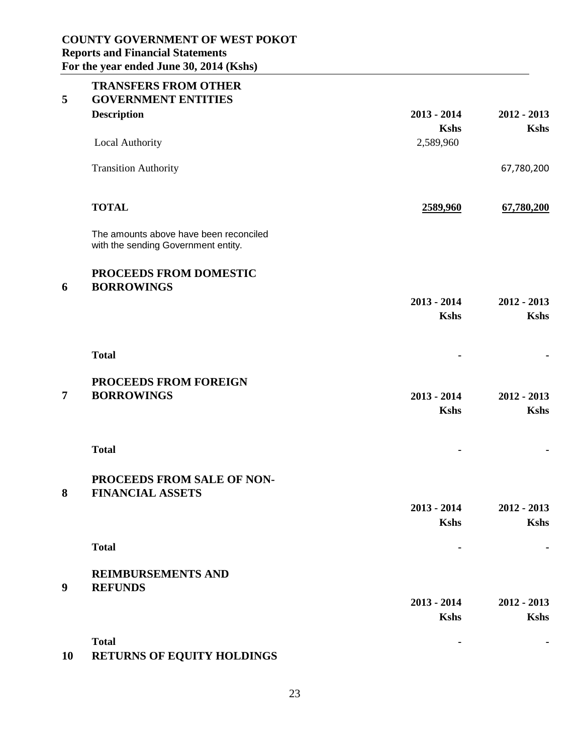| 5                | <b>TRANSFERS FROM OTHER</b><br><b>GOVERNMENT ENTITIES</b>                     |                              |                              |
|------------------|-------------------------------------------------------------------------------|------------------------------|------------------------------|
|                  | <b>Description</b>                                                            | $2013 - 2014$<br><b>Kshs</b> | $2012 - 2013$<br><b>Kshs</b> |
|                  | Local Authority                                                               | 2,589,960                    |                              |
|                  | <b>Transition Authority</b>                                                   |                              | 67,780,200                   |
|                  | <b>TOTAL</b>                                                                  | 2589,960                     | 67,780,200                   |
|                  | The amounts above have been reconciled<br>with the sending Government entity. |                              |                              |
| 6                | PROCEEDS FROM DOMESTIC<br><b>BORROWINGS</b>                                   |                              |                              |
|                  |                                                                               | $2013 - 2014$<br><b>Kshs</b> | $2012 - 2013$<br><b>Kshs</b> |
|                  | <b>Total</b>                                                                  |                              |                              |
|                  | <b>PROCEEDS FROM FOREIGN</b>                                                  |                              |                              |
| $\overline{7}$   | <b>BORROWINGS</b>                                                             | $2013 - 2014$<br><b>Kshs</b> | $2012 - 2013$<br><b>Kshs</b> |
|                  | <b>Total</b>                                                                  |                              |                              |
| 8                | PROCEEDS FROM SALE OF NON-<br><b>FINANCIAL ASSETS</b>                         |                              |                              |
|                  |                                                                               | $2013 - 2014$<br><b>Kshs</b> | $2012 - 2013$<br><b>Kshs</b> |
|                  | <b>Total</b>                                                                  |                              |                              |
| $\boldsymbol{9}$ | <b>REIMBURSEMENTS AND</b><br><b>REFUNDS</b>                                   |                              |                              |
|                  |                                                                               | $2013 - 2014$                | $2012 - 2013$                |
|                  |                                                                               | <b>Kshs</b>                  | <b>Kshs</b>                  |
|                  | <b>Total</b>                                                                  |                              |                              |

# **10 RETURNS OF EQUITY HOLDINGS**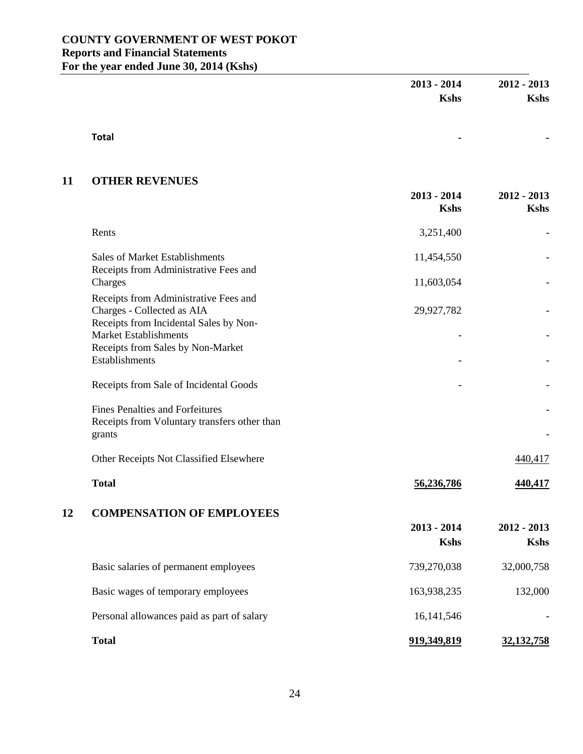|    |                                                                                                               | $2013 - 2014$<br><b>Kshs</b> | $2012 - 2013$<br><b>Kshs</b> |
|----|---------------------------------------------------------------------------------------------------------------|------------------------------|------------------------------|
|    | <b>Total</b>                                                                                                  |                              |                              |
| 11 | <b>OTHER REVENUES</b>                                                                                         |                              |                              |
|    |                                                                                                               | $2013 - 2014$<br><b>Kshs</b> | $2012 - 2013$<br><b>Kshs</b> |
|    | Rents                                                                                                         | 3,251,400                    |                              |
|    | Sales of Market Establishments<br>Receipts from Administrative Fees and                                       | 11,454,550                   |                              |
|    | Charges                                                                                                       | 11,603,054                   |                              |
|    | Receipts from Administrative Fees and<br>Charges - Collected as AIA<br>Receipts from Incidental Sales by Non- | 29,927,782                   |                              |
|    | <b>Market Establishments</b><br>Receipts from Sales by Non-Market                                             |                              |                              |
|    | Establishments                                                                                                |                              |                              |
|    | Receipts from Sale of Incidental Goods                                                                        |                              |                              |
|    | <b>Fines Penalties and Forfeitures</b><br>Receipts from Voluntary transfers other than                        |                              |                              |
|    | grants                                                                                                        |                              |                              |
|    | Other Receipts Not Classified Elsewhere                                                                       |                              | 440,417                      |
|    | <b>Total</b>                                                                                                  | 56,236,786                   | 440,417                      |
| 12 | <b>COMPENSATION OF EMPLOYEES</b>                                                                              |                              |                              |
|    |                                                                                                               | $2013 - 2014$<br><b>Kshs</b> | $2012 - 2013$<br><b>Kshs</b> |
|    | Basic salaries of permanent employees                                                                         | 739,270,038                  | 32,000,758                   |
|    | Basic wages of temporary employees                                                                            | 163,938,235                  | 132,000                      |
|    | Personal allowances paid as part of salary                                                                    | 16, 141, 546                 |                              |
|    | <b>Total</b>                                                                                                  | 919,349,819                  | 32, 132, 758                 |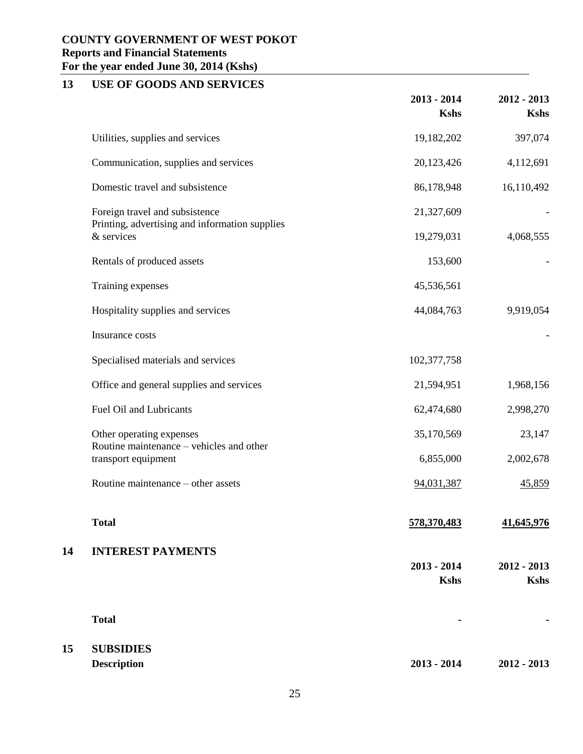# **13 USE OF GOODS AND SERVICES**

|    |                                                                      | $2013 - 2014$<br><b>Kshs</b> | $2012 - 2013$<br><b>Kshs</b> |
|----|----------------------------------------------------------------------|------------------------------|------------------------------|
|    | Utilities, supplies and services                                     | 19,182,202                   | 397,074                      |
|    | Communication, supplies and services                                 | 20,123,426                   | 4,112,691                    |
|    | Domestic travel and subsistence                                      | 86,178,948                   | 16,110,492                   |
|    | Foreign travel and subsistence                                       | 21,327,609                   |                              |
|    | Printing, advertising and information supplies<br>& services         | 19,279,031                   | 4,068,555                    |
|    | Rentals of produced assets                                           | 153,600                      |                              |
|    | Training expenses                                                    | 45,536,561                   |                              |
|    | Hospitality supplies and services                                    | 44,084,763                   | 9,919,054                    |
|    | Insurance costs                                                      |                              |                              |
|    | Specialised materials and services                                   | 102,377,758                  |                              |
|    | Office and general supplies and services                             | 21,594,951                   | 1,968,156                    |
|    | Fuel Oil and Lubricants                                              | 62,474,680                   | 2,998,270                    |
|    | Other operating expenses<br>Routine maintenance – vehicles and other | 35,170,569                   | 23,147                       |
|    | transport equipment                                                  | 6,855,000                    | 2,002,678                    |
|    | Routine maintenance – other assets                                   | 94,031,387                   | 45,859                       |
|    | <b>Total</b>                                                         | 578,370,483                  | 41,645,976                   |
| 14 | <b>INTEREST PAYMENTS</b>                                             |                              |                              |
|    |                                                                      | $2013 - 2014$<br><b>Kshs</b> | $2012 - 2013$<br><b>Kshs</b> |
|    |                                                                      |                              |                              |
|    | <b>Total</b>                                                         |                              |                              |
| 15 | <b>SUBSIDIES</b>                                                     |                              |                              |
|    | <b>Description</b>                                                   | $2013 - 2014$                | $2012 - 2013$                |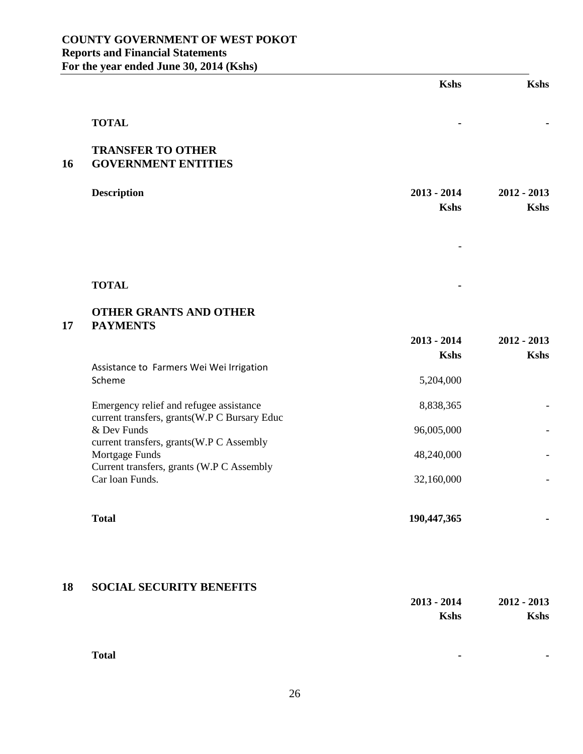|    |                                                                                         | <b>Kshs</b>                  | <b>Kshs</b>                  |
|----|-----------------------------------------------------------------------------------------|------------------------------|------------------------------|
|    | <b>TOTAL</b>                                                                            |                              |                              |
| 16 | <b>TRANSFER TO OTHER</b><br><b>GOVERNMENT ENTITIES</b>                                  |                              |                              |
|    | <b>Description</b>                                                                      | $2013 - 2014$<br><b>Kshs</b> | $2012 - 2013$<br><b>Kshs</b> |
|    |                                                                                         |                              |                              |
|    | <b>TOTAL</b>                                                                            |                              |                              |
| 17 | <b>OTHER GRANTS AND OTHER</b><br><b>PAYMENTS</b>                                        |                              |                              |
|    |                                                                                         | $2013 - 2014$<br><b>Kshs</b> | $2012 - 2013$<br><b>Kshs</b> |
|    | Assistance to Farmers Wei Wei Irrigation<br>Scheme                                      | 5,204,000                    |                              |
|    | Emergency relief and refugee assistance<br>current transfers, grants(W.P C Bursary Educ | 8,838,365                    |                              |
|    | & Dev Funds<br>current transfers, grants(W.P C Assembly<br>Mortgage Funds               | 96,005,000<br>48,240,000     |                              |
|    | Current transfers, grants (W.P C Assembly<br>Car loan Funds.                            | 32,160,000                   |                              |
|    | <b>Total</b>                                                                            | 190,447,365                  |                              |
|    |                                                                                         |                              |                              |
| 18 | <b>SOCIAL SECURITY BENEFITS</b>                                                         | $2013 - 2014$<br><b>Kshs</b> | $2012 - 2013$<br><b>Kshs</b> |

**Total**

**-** 

**-**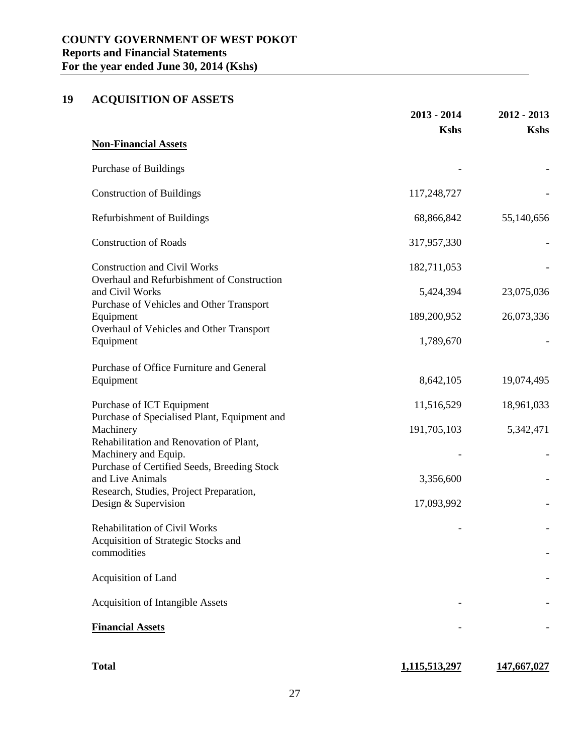# **19 ACQUISITION OF ASSETS**

|                                                                 | $2013 - 2014$ | $2012 - 2013$ |
|-----------------------------------------------------------------|---------------|---------------|
|                                                                 | <b>Kshs</b>   | <b>Kshs</b>   |
| <b>Non-Financial Assets</b>                                     |               |               |
| Purchase of Buildings                                           |               |               |
| <b>Construction of Buildings</b>                                | 117,248,727   |               |
| Refurbishment of Buildings                                      | 68,866,842    | 55,140,656    |
| <b>Construction of Roads</b>                                    | 317,957,330   |               |
| <b>Construction and Civil Works</b>                             | 182,711,053   |               |
| Overhaul and Refurbishment of Construction<br>and Civil Works   | 5,424,394     | 23,075,036    |
| Purchase of Vehicles and Other Transport<br>Equipment           | 189,200,952   | 26,073,336    |
| Overhaul of Vehicles and Other Transport<br>Equipment           | 1,789,670     |               |
| Purchase of Office Furniture and General<br>Equipment           | 8,642,105     | 19,074,495    |
| Purchase of ICT Equipment                                       | 11,516,529    | 18,961,033    |
| Purchase of Specialised Plant, Equipment and<br>Machinery       | 191,705,103   | 5,342,471     |
| Rehabilitation and Renovation of Plant,<br>Machinery and Equip. |               |               |
| Purchase of Certified Seeds, Breeding Stock<br>and Live Animals | 3,356,600     |               |
| Research, Studies, Project Preparation,<br>Design & Supervision | 17,093,992    |               |
| <b>Rehabilitation of Civil Works</b>                            |               |               |
| Acquisition of Strategic Stocks and<br>commodities              |               |               |
| Acquisition of Land                                             |               |               |
| <b>Acquisition of Intangible Assets</b>                         |               |               |
| <b>Financial Assets</b>                                         |               |               |
|                                                                 |               |               |
| <b>Total</b>                                                    | 1,115,513,297 | 147,667,027   |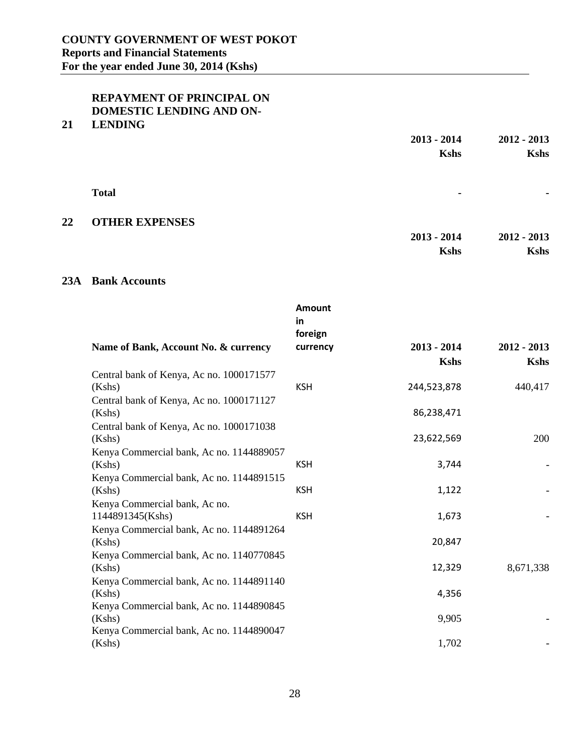### **REPAYMENT OF PRINCIPAL ON DOMESTIC LENDING AND ON-**

#### **21 LENDING**

|    |                       | $2013 - 2014$ | $2012 - 2013$ |
|----|-----------------------|---------------|---------------|
|    |                       | <b>Kshs</b>   | <b>Kshs</b>   |
|    |                       |               |               |
|    | <b>Total</b>          | ٠             | ٠             |
| 22 | <b>OTHER EXPENSES</b> |               |               |
|    |                       | $2013 - 2014$ | $2012 - 2013$ |
|    |                       | <b>Kshs</b>   | <b>Kshs</b>   |

#### **23A Bank Accounts**

|                                                    | Amount<br>in<br>foreign |               |               |
|----------------------------------------------------|-------------------------|---------------|---------------|
| Name of Bank, Account No. & currency               | currency                | $2013 - 2014$ | $2012 - 2013$ |
|                                                    |                         | <b>Kshs</b>   | <b>Kshs</b>   |
| Central bank of Kenya, Ac no. 1000171577           |                         |               |               |
| (Kshs)                                             | <b>KSH</b>              | 244,523,878   | 440,417       |
| Central bank of Kenya, Ac no. 1000171127           |                         |               |               |
| (Kshs)                                             |                         | 86,238,471    |               |
| Central bank of Kenya, Ac no. 1000171038           |                         |               |               |
| (Kshs)                                             |                         | 23,622,569    | 200           |
| Kenya Commercial bank, Ac no. 1144889057           |                         |               |               |
| (Kshs)                                             | <b>KSH</b>              | 3,744         |               |
| Kenya Commercial bank, Ac no. 1144891515           |                         |               |               |
| (Kshs)                                             | <b>KSH</b>              | 1,122         |               |
| Kenya Commercial bank, Ac no.                      |                         |               |               |
| 1144891345(Kshs)                                   | <b>KSH</b>              | 1,673         |               |
| Kenya Commercial bank, Ac no. 1144891264           |                         | 20,847        |               |
| (Kshs)                                             |                         |               |               |
| Kenya Commercial bank, Ac no. 1140770845<br>(Kshs) |                         | 12,329        | 8,671,338     |
| Kenya Commercial bank, Ac no. 1144891140           |                         |               |               |
| (Kshs)                                             |                         | 4,356         |               |
| Kenya Commercial bank, Ac no. 1144890845           |                         |               |               |
| (Kshs)                                             |                         | 9,905         |               |
| Kenya Commercial bank, Ac no. 1144890047           |                         |               |               |
| (Kshs)                                             |                         | 1,702         |               |
|                                                    |                         |               |               |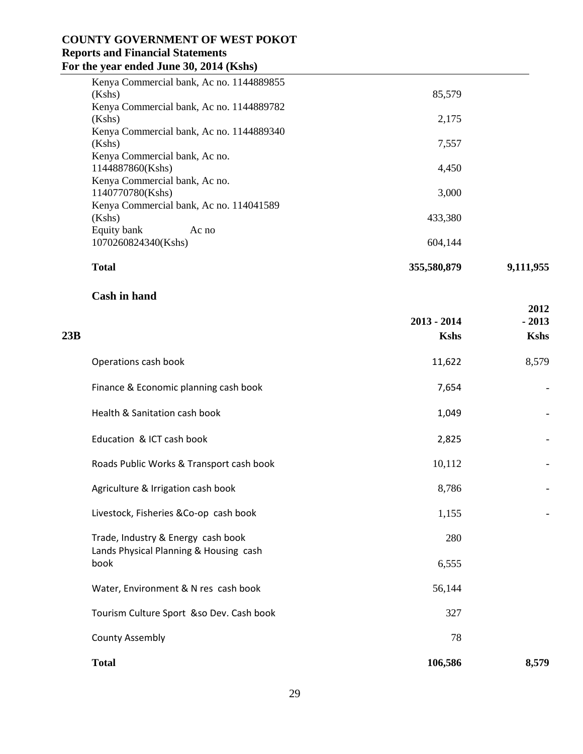| <b>Total</b>                             | 355,580,879 | 9,111,955 |
|------------------------------------------|-------------|-----------|
| 1070260824340(Kshs)                      | 604,144     |           |
| Equity bank<br>Ac no                     |             |           |
| (Kshs)                                   | 433,380     |           |
| Kenya Commercial bank, Ac no. 114041589  |             |           |
| 1140770780(Kshs)                         | 3,000       |           |
| Kenya Commercial bank, Ac no.            |             |           |
| 1144887860(Kshs)                         | 4,450       |           |
| Kenya Commercial bank, Ac no.            |             |           |
| (Kshs)                                   | 7,557       |           |
| Kenya Commercial bank, Ac no. 1144889340 |             |           |
| (Kshs)                                   | 2,175       |           |
| Kenya Commercial bank, Ac no. 1144889782 |             |           |
| (Kshs)                                   | 85,579      |           |
| Kenya Commercial bank, Ac no. 1144889855 |             |           |
|                                          |             |           |

**2012** 

#### **Cash in hand**

| 23B |                                                | $2013 - 2014$<br><b>Kshs</b> | $-2013$<br><b>Kshs</b> |
|-----|------------------------------------------------|------------------------------|------------------------|
|     | Operations cash book                           | 11,622                       | 8,579                  |
|     | Finance & Economic planning cash book          | 7,654                        |                        |
|     | Health & Sanitation cash book                  | 1,049                        |                        |
|     | Education & ICT cash book                      | 2,825                        |                        |
|     | Roads Public Works & Transport cash book       | 10,112                       |                        |
|     | Agriculture & Irrigation cash book             | 8,786                        |                        |
|     | Livestock, Fisheries &Co-op cash book          | 1,155                        |                        |
|     | Trade, Industry & Energy cash book             | 280                          |                        |
|     | Lands Physical Planning & Housing cash<br>book | 6,555                        |                        |
|     | Water, Environment & N res cash book           | 56,144                       |                        |
|     | Tourism Culture Sport &so Dev. Cash book       | 327                          |                        |
|     | <b>County Assembly</b>                         | 78                           |                        |
|     | <b>Total</b>                                   | 106,586                      | 8,579                  |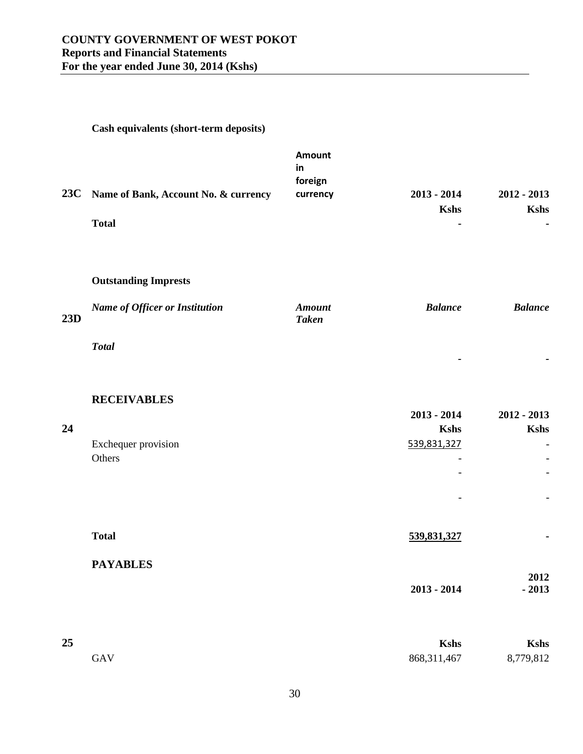|     | Cash equivalents (short-term deposits)                               |                                            |                              |                              |
|-----|----------------------------------------------------------------------|--------------------------------------------|------------------------------|------------------------------|
| 23C | Name of Bank, Account No. & currency<br><b>Total</b>                 | <b>Amount</b><br>in<br>foreign<br>currency | $2013 - 2014$<br><b>Kshs</b> | $2012 - 2013$<br><b>Kshs</b> |
| 23D | <b>Outstanding Imprests</b><br><b>Name of Officer or Institution</b> | <b>Amount</b><br><b>Taken</b>              | <b>Balance</b>               | <b>Balance</b>               |
|     | <b>Total</b>                                                         |                                            |                              |                              |
|     | <b>RECEIVABLES</b>                                                   |                                            | $2013 - 2014$                | $2012 - 2013$                |
| 24  | Exchequer provision<br>Others                                        |                                            | <b>Kshs</b><br>539,831,327   | <b>Kshs</b>                  |

| <b>Total</b>    | 539,831,327   | ж.      |
|-----------------|---------------|---------|
| <b>PAYABLES</b> |               |         |
|                 |               | 2012    |
|                 | $2013 - 2014$ | $-2013$ |

 $\omega$  -  $\omega$  -  $\omega$  -  $\omega$  -  $\omega$ 

-

 $\sim$  -  $\sim$   $\sim$   $\sim$   $\sim$   $\sim$ 

| 25  | <b>Kshs</b>   | <b>Kshs</b> |
|-----|---------------|-------------|
| GAV | 868, 311, 467 | 8,779,812   |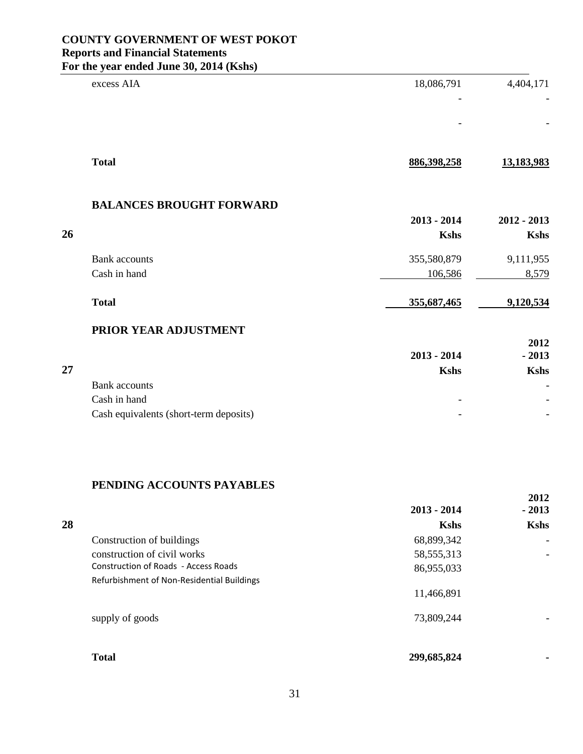|    | excess AIA                             | 18,086,791    | 4,404,171     |
|----|----------------------------------------|---------------|---------------|
|    |                                        |               |               |
|    |                                        |               |               |
|    |                                        |               |               |
|    | <b>Total</b>                           | 886,398,258   | 13,183,983    |
|    | <b>BALANCES BROUGHT FORWARD</b>        |               |               |
|    |                                        | $2013 - 2014$ | $2012 - 2013$ |
| 26 |                                        | <b>Kshs</b>   | <b>Kshs</b>   |
|    | <b>Bank</b> accounts                   | 355,580,879   | 9,111,955     |
|    | Cash in hand                           | 106,586       | 8,579         |
|    | <b>Total</b>                           | 355,687,465   | 9,120,534     |
|    | PRIOR YEAR ADJUSTMENT                  |               |               |
|    |                                        |               | 2012          |
|    |                                        | $2013 - 2014$ | $-2013$       |
| 27 |                                        | <b>Kshs</b>   | <b>Kshs</b>   |
|    | <b>Bank</b> accounts                   |               |               |
|    | Cash in hand                           |               |               |
|    | Cash equivalents (short-term deposits) |               |               |

## **PENDING ACCOUNTS PAYABLES**

|    |                                             | $2013 - 2014$ | $-2013$     |
|----|---------------------------------------------|---------------|-------------|
| 28 |                                             | <b>Kshs</b>   | <b>Kshs</b> |
|    | Construction of buildings                   | 68,899,342    |             |
|    | construction of civil works                 | 58, 555, 313  |             |
|    | <b>Construction of Roads - Access Roads</b> | 86,955,033    |             |
|    | Refurbishment of Non-Residential Buildings  |               |             |
|    |                                             | 11,466,891    |             |
|    | supply of goods                             | 73,809,244    |             |
|    | <b>Total</b>                                | 299,685,824   |             |
|    |                                             |               |             |

**2012**